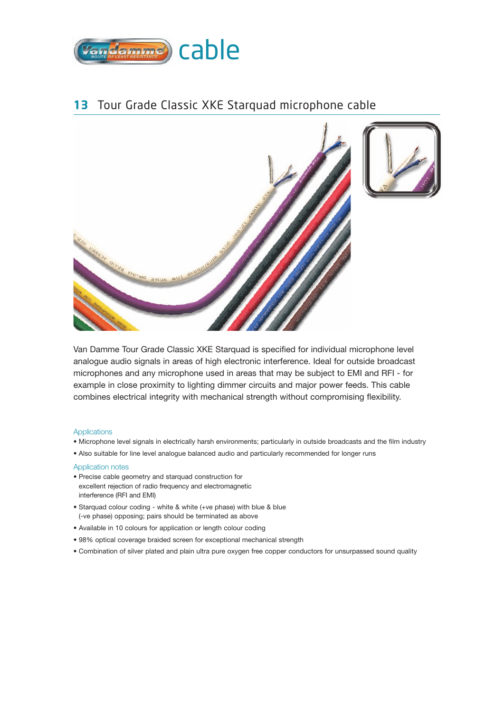

## **13** Tour Grade Classic XKE Starquad microphone cable



Van Damme Tour Grade Classic XKE Starquad is specified for individual microphone level analogue audio signals in areas of high electronic interference. Ideal for outside broadcast microphones and any microphone used in areas that may be subject to EMI and RFI - for example in close proximity to lighting dimmer circuits and major power feeds. This cable combines electrical integrity with mechanical strength without compromising flexibility.

#### **Applications**

- Microphone level signals in electrically harsh environments; particularly in outside broadcasts and the film industry
- Also suitable for line level analogue balanced audio and particularly recommended for longer runs

### Application notes

- Precise cable geometry and starquad construction for excellent rejection of radio frequency and electromagnetic interference (RFI and EMI)
- Starquad colour coding white & white (+ve phase) with blue & blue (-ve phase) opposing; pairs should be terminated as above
- Available in 10 colours for application or length colour coding
- 98% optical coverage braided screen for exceptional mechanical strength
- Combination of silver plated and plain ultra pure oxygen free copper conductors for unsurpassed sound quality